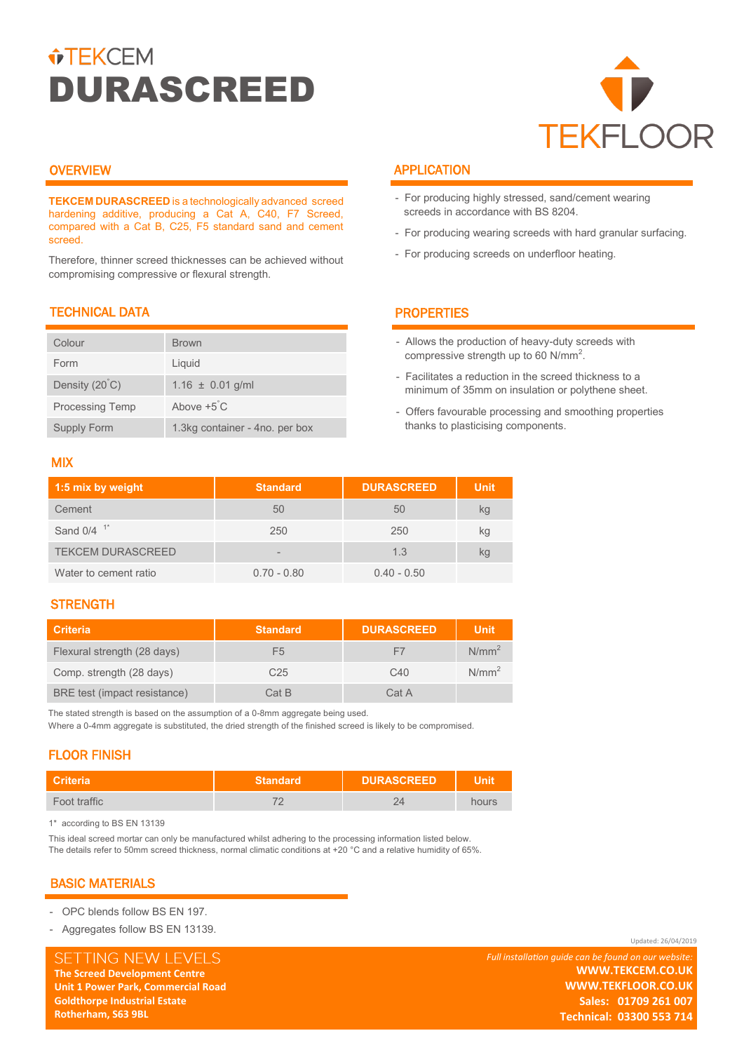# *<u>•TEKCEM</u>* DURASCREED



## **OVERVIEW**

**TEKCEM DURASCREED** is a technologically advanced screed hardening additive, producing a Cat A, C40, F7 Screed, compared with a Cat B, C25, F5 standard sand and cement screed.

Therefore, thinner screed thicknesses can be achieved without compromising compressive or flexural strength.

# TECHNICAL DATA

| Colour                 | <b>Brown</b>                   |
|------------------------|--------------------------------|
| Form                   | Liquid                         |
| Density (20°C)         | $1.16 \pm 0.01$ g/ml           |
| <b>Processing Temp</b> | Above $+5^{\circ}$ C           |
| Supply Form            | 1.3kg container - 4no. per box |

## MIX

| 1:5 mix by weight        | <b>Standard</b> | <b>DURASCREED</b> | <b>Unit</b> |
|--------------------------|-----------------|-------------------|-------------|
| Cement                   | 50              | 50                | kg          |
| Sand $0/4$ <sup>1*</sup> | 250             | 250               | kg          |
| <b>TEKCEM DURASCREED</b> | -               | 1.3               | kg          |
| Water to cement ratio    | $0.70 - 0.80$   | $0.40 - 0.50$     |             |

## **STRENGTH**

| <b>Criteria</b>              | <b>Standard</b> | <b>DURASCREED</b> | <b>Unit</b> |
|------------------------------|-----------------|-------------------|-------------|
| Flexural strength (28 days)  | F5              | $\vdash$          | $N/mm^2$    |
| Comp. strength (28 days)     | C25             | C <sub>40</sub>   | $N/mm^2$    |
| BRE test (impact resistance) | Cat B           | Cat A             |             |

The stated strength is based on the assumption of a 0-8mm aggregate being used. Where a 0-4mm aggregate is substituted, the dried strength of the finished screed is likely to be compromised.

# FLOOR FINISH

| <b>Criteria</b> | <b>Standard</b> | <b>DURASCREED</b> | <b>Unit</b>  |  |
|-----------------|-----------------|-------------------|--------------|--|
| Foot traffic    |                 |                   | <b>OLIES</b> |  |

1\* according to BS EN 13139

This ideal screed mortar can only be manufactured whilst adhering to the processing information listed below. The details refer to 50mm screed thickness, normal climatic conditions at +20 °C and a relative humidity of 65%.

# BASIC MATERIALS

**Rotherham, S63 9BL** 

- OPC blends follow BS EN 197.
- Aggregates follow BS EN 13139.

SETTING NEW LEVELS **The Screed Development Centre The Screed Development Centre Unit 1 Power Park, Commercial Road Unit 1 Power Park, Commercial Road Goldthorpe Industrial Estate Goldthorpe Industrial Estate Rotherham, S63 9BL** 

# APPLICATION

- For producing highly stressed, sand/cement wearing screeds in accordance with BS 8204.
- For producing wearing screeds with hard granular surfacing.
- For producing screeds on underfloor heating.

# **PROPERTIES**

- Allows the production of heavy-duty screeds with compressive strength up to 60  $N/mm^2$ .
- Facilitates a reduction in the screed thickness to a minimum of 35mm on insulation or polythene sheet.
- Offers favourable processing and smoothing properties thanks to plasticising components.

*Full installation guide can be found on our website:* **WWW.TEKCEM.CO.UK WWW.TEKCEM.CO.UK WWW.TEKFLOOR.CO.UK WWW.TEKFLOOR.CO.UK Sales: 01709 261 007 Technical: 03300 553 714Technical: 03300 553 714 Sales: 01709 261 007**

Updated: 26/04/2019